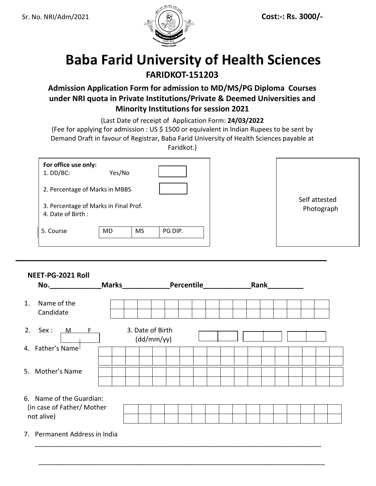

# **Baba Farid University of Health Sciences FARIDKOT-151203**

## **Admission Application Form for admission to MD/MS/PG Diploma Courses under NRI quota in Private Institutions/Private & Deemed Universities and Minority Institutions for session 2021**

(Last Date of receipt of Application Form: **24/03/2022**

(Fee for applying for admission : US \$ 1500 or equivalent in Indian Rupees to be sent by Demand Draft in favour of Registrar, Baba Farid University of Health Sciences payable at

Faridkot.)

| For office use only:<br>$1.$ DD/BC:                        | Yes/No |           |            |               |
|------------------------------------------------------------|--------|-----------|------------|---------------|
| 2. Percentage of Marks in MBBS                             |        |           |            | Self attested |
| 3. Percentage of Marks in Final Prof.<br>4. Date of Birth: |        |           | Photograph |               |
| 5. Course                                                  | MD     | <b>MS</b> | PG DIP.    |               |

### **NEET-PG-2021 Roll**

| No.                                        | <b>Marks</b>     | Percentile | Rank |  |
|--------------------------------------------|------------------|------------|------|--|
| Name of the<br>$\mathbf{1}$ .<br>Candidate |                  |            |      |  |
| $2.$ Sex:<br>$M$ F                         | 3. Date of Birth | (dd/mm/yy) |      |  |
| 4. Father's Name                           |                  |            |      |  |
| 5. Mother's Name                           |                  |            |      |  |
| 6. Name of the Guardian:                   |                  |            |      |  |
| (in case of Father/ Mother<br>not alive)   |                  |            |      |  |
| 7. Permanent Address in India              |                  |            |      |  |

\_\_\_\_\_\_\_\_\_\_\_\_\_\_\_\_\_\_\_\_\_\_\_\_\_\_\_\_\_\_\_\_\_\_\_\_\_\_\_\_\_\_\_\_\_\_\_\_\_\_\_\_\_\_\_\_\_\_\_\_\_\_\_\_\_\_\_\_\_\_\_\_\_\_\_\_\_\_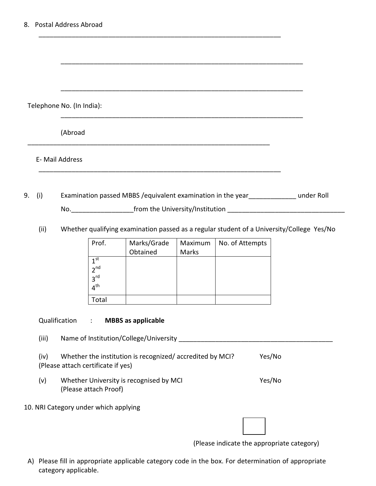Telephone No. (In India):

(Abroad

E- Mail Address

9. (i) Examination passed MBBS /equivalent examination in the year\_\_\_\_\_\_\_\_\_\_\_\_\_ under Roll No.\_\_\_\_\_\_\_\_\_\_\_\_\_\_\_\_\_from the University/Institution \_\_\_\_\_\_\_\_\_\_\_\_\_\_\_\_\_\_\_\_\_\_\_\_\_\_\_\_\_\_\_\_

\_\_\_\_\_\_\_\_\_\_\_\_\_\_\_\_\_\_\_\_\_\_\_\_\_\_\_\_\_\_\_\_\_\_\_\_\_\_\_\_\_\_\_\_\_\_\_\_\_\_\_\_\_\_\_\_\_\_\_\_\_\_\_\_\_\_

 $\overline{\phantom{a}}$  ,  $\overline{\phantom{a}}$  ,  $\overline{\phantom{a}}$  ,  $\overline{\phantom{a}}$  ,  $\overline{\phantom{a}}$  ,  $\overline{\phantom{a}}$  ,  $\overline{\phantom{a}}$  ,  $\overline{\phantom{a}}$  ,  $\overline{\phantom{a}}$  ,  $\overline{\phantom{a}}$  ,  $\overline{\phantom{a}}$  ,  $\overline{\phantom{a}}$  ,  $\overline{\phantom{a}}$  ,  $\overline{\phantom{a}}$  ,  $\overline{\phantom{a}}$  ,  $\overline{\phantom{a}}$ 

\_\_\_\_\_\_\_\_\_\_\_\_\_\_\_\_\_\_\_\_\_\_\_\_\_\_\_\_\_\_\_\_\_\_\_\_\_\_\_\_\_\_\_\_\_\_\_\_\_\_\_\_\_\_\_\_\_\_\_\_\_\_\_\_\_\_

\_\_\_\_\_\_\_\_\_\_\_\_\_\_\_\_\_\_\_\_\_\_\_\_\_\_\_\_\_\_\_\_\_\_\_\_\_\_\_\_\_\_\_\_\_\_\_\_\_\_\_\_\_\_\_\_\_\_\_\_\_\_\_\_\_\_

\_\_\_\_\_\_\_\_\_\_\_\_\_\_\_\_\_\_\_\_\_\_\_\_\_\_\_\_\_\_\_\_\_\_\_\_\_\_\_\_\_\_\_\_\_\_\_\_\_\_\_\_\_\_\_\_\_\_\_\_\_\_\_\_\_\_

\_\_\_\_\_\_\_\_\_\_\_\_\_\_\_\_\_\_\_\_\_\_\_\_\_\_\_\_\_\_\_\_\_\_\_\_\_\_\_\_\_\_\_\_\_\_\_\_\_\_\_\_\_\_\_\_\_\_\_\_\_\_\_\_\_\_

(ii) Whether qualifying examination passed as a regular student of a University/College Yes/No

| Prof.                                                                    | Marks/Grade | Maximum | No. of Attempts |
|--------------------------------------------------------------------------|-------------|---------|-----------------|
|                                                                          | Obtained    | Marks   |                 |
| 1 <sup>st</sup><br>2 <sup>nd</sup><br>3 <sup>rd</sup><br>$4^{\text{th}}$ |             |         |                 |
| Total                                                                    |             |         |                 |

Qualification : **MBBS as applicable** 

(iii) Name of Institution/College/University \_\_\_\_\_\_\_\_\_\_\_\_\_\_\_\_\_\_\_\_\_\_\_\_\_\_\_\_\_\_\_\_\_\_\_

| (iv) | Whether the institution is recognized/accredited by MCI? | Yes/No |
|------|----------------------------------------------------------|--------|
|      | (Please attach certificate if yes)                       |        |

(v) Whether University is recognised by MCI Ves/No (Please attach Proof)

10. NRI Category under which applying

(Please indicate the appropriate category)

A) Please fill in appropriate applicable category code in the box. For determination of appropriate category applicable.